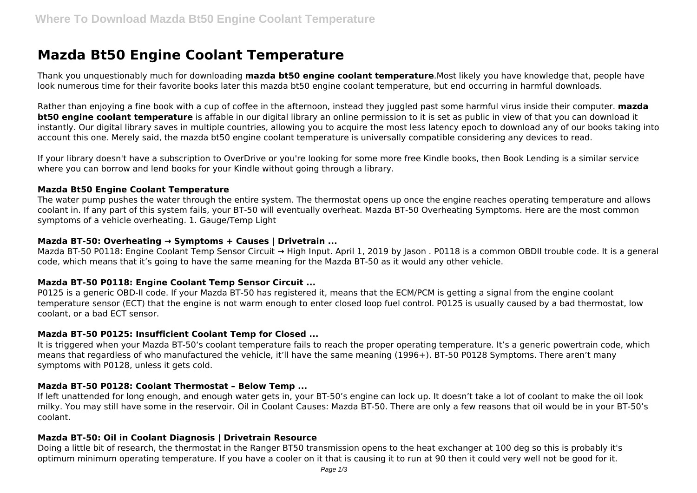# **Mazda Bt50 Engine Coolant Temperature**

Thank you unquestionably much for downloading **mazda bt50 engine coolant temperature**.Most likely you have knowledge that, people have look numerous time for their favorite books later this mazda bt50 engine coolant temperature, but end occurring in harmful downloads.

Rather than enjoying a fine book with a cup of coffee in the afternoon, instead they juggled past some harmful virus inside their computer. **mazda bt50 engine coolant temperature** is affable in our digital library an online permission to it is set as public in view of that you can download it instantly. Our digital library saves in multiple countries, allowing you to acquire the most less latency epoch to download any of our books taking into account this one. Merely said, the mazda bt50 engine coolant temperature is universally compatible considering any devices to read.

If your library doesn't have a subscription to OverDrive or you're looking for some more free Kindle books, then Book Lending is a similar service where you can borrow and lend books for your Kindle without going through a library.

#### **Mazda Bt50 Engine Coolant Temperature**

The water pump pushes the water through the entire system. The thermostat opens up once the engine reaches operating temperature and allows coolant in. If any part of this system fails, your BT-50 will eventually overheat. Mazda BT-50 Overheating Symptoms. Here are the most common symptoms of a vehicle overheating. 1. Gauge/Temp Light

# **Mazda BT-50: Overheating → Symptoms + Causes | Drivetrain ...**

Mazda BT-50 P0118: Engine Coolant Temp Sensor Circuit → High Input. April 1, 2019 by Jason . P0118 is a common OBDII trouble code. It is a general code, which means that it's going to have the same meaning for the Mazda BT-50 as it would any other vehicle.

#### **Mazda BT-50 P0118: Engine Coolant Temp Sensor Circuit ...**

P0125 is a generic OBD-II code. If your Mazda BT-50 has registered it, means that the ECM/PCM is getting a signal from the engine coolant temperature sensor (ECT) that the engine is not warm enough to enter closed loop fuel control. P0125 is usually caused by a bad thermostat, low coolant, or a bad ECT sensor.

#### **Mazda BT-50 P0125: Insufficient Coolant Temp for Closed ...**

It is triggered when your Mazda BT-50's coolant temperature fails to reach the proper operating temperature. It's a generic powertrain code, which means that regardless of who manufactured the vehicle, it'll have the same meaning (1996+). BT-50 P0128 Symptoms. There aren't many symptoms with P0128, unless it gets cold.

#### **Mazda BT-50 P0128: Coolant Thermostat – Below Temp ...**

If left unattended for long enough, and enough water gets in, your BT-50's engine can lock up. It doesn't take a lot of coolant to make the oil look milky. You may still have some in the reservoir. Oil in Coolant Causes: Mazda BT-50. There are only a few reasons that oil would be in your BT-50's coolant.

# **Mazda BT-50: Oil in Coolant Diagnosis | Drivetrain Resource**

Doing a little bit of research, the thermostat in the Ranger BT50 transmission opens to the heat exchanger at 100 deg so this is probably it's optimum minimum operating temperature. If you have a cooler on it that is causing it to run at 90 then it could very well not be good for it.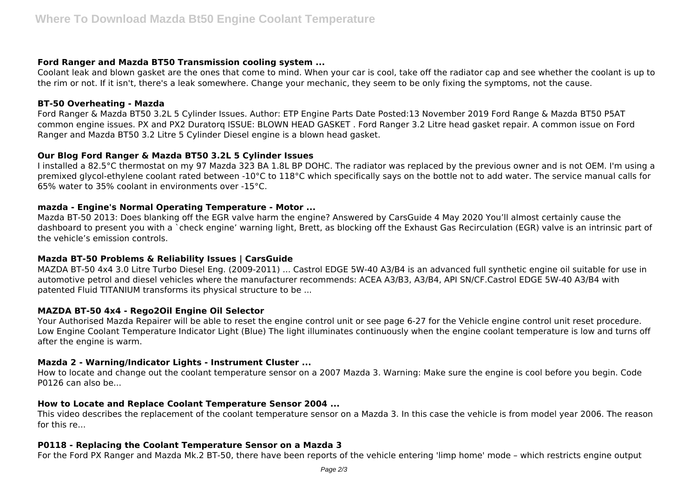# **Ford Ranger and Mazda BT50 Transmission cooling system ...**

Coolant leak and blown gasket are the ones that come to mind. When your car is cool, take off the radiator cap and see whether the coolant is up to the rim or not. If it isn't, there's a leak somewhere. Change your mechanic, they seem to be only fixing the symptoms, not the cause.

# **BT-50 Overheating - Mazda**

Ford Ranger & Mazda BT50 3.2L 5 Cylinder Issues. Author: ETP Engine Parts Date Posted:13 November 2019 Ford Range & Mazda BT50 P5AT common engine issues. PX and PX2 Duratorq ISSUE: BLOWN HEAD GASKET . Ford Ranger 3.2 Litre head gasket repair. A common issue on Ford Ranger and Mazda BT50 3.2 Litre 5 Cylinder Diesel engine is a blown head gasket.

# **Our Blog Ford Ranger & Mazda BT50 3.2L 5 Cylinder Issues**

I installed a 82.5°C thermostat on my 97 Mazda 323 BA 1.8L BP DOHC. The radiator was replaced by the previous owner and is not OEM. I'm using a premixed glycol-ethylene coolant rated between -10°C to 118°C which specifically says on the bottle not to add water. The service manual calls for 65% water to 35% coolant in environments over -15°C.

# **mazda - Engine's Normal Operating Temperature - Motor ...**

Mazda BT-50 2013: Does blanking off the EGR valve harm the engine? Answered by CarsGuide 4 May 2020 You'll almost certainly cause the dashboard to present you with a `check engine' warning light, Brett, as blocking off the Exhaust Gas Recirculation (EGR) valve is an intrinsic part of the vehicle's emission controls.

#### **Mazda BT-50 Problems & Reliability Issues | CarsGuide**

MAZDA BT-50 4x4 3.0 Litre Turbo Diesel Eng. (2009-2011) ... Castrol EDGE 5W-40 A3/B4 is an advanced full synthetic engine oil suitable for use in automotive petrol and diesel vehicles where the manufacturer recommends: ACEA A3/B3, A3/B4, API SN/CF.Castrol EDGE 5W-40 A3/B4 with patented Fluid TITANIUM transforms its physical structure to be ...

# **MAZDA BT-50 4x4 - Rego2Oil Engine Oil Selector**

Your Authorised Mazda Repairer will be able to reset the engine control unit or see page 6-27 for the Vehicle engine control unit reset procedure. Low Engine Coolant Temperature Indicator Light (Blue) The light illuminates continuously when the engine coolant temperature is low and turns off after the engine is warm.

#### **Mazda 2 - Warning/Indicator Lights - Instrument Cluster ...**

How to locate and change out the coolant temperature sensor on a 2007 Mazda 3. Warning: Make sure the engine is cool before you begin. Code P0126 can also be...

# **How to Locate and Replace Coolant Temperature Sensor 2004 ...**

This video describes the replacement of the coolant temperature sensor on a Mazda 3. In this case the vehicle is from model year 2006. The reason for this re...

#### **P0118 - Replacing the Coolant Temperature Sensor on a Mazda 3**

For the Ford PX Ranger and Mazda Mk.2 BT-50, there have been reports of the vehicle entering 'limp home' mode – which restricts engine output